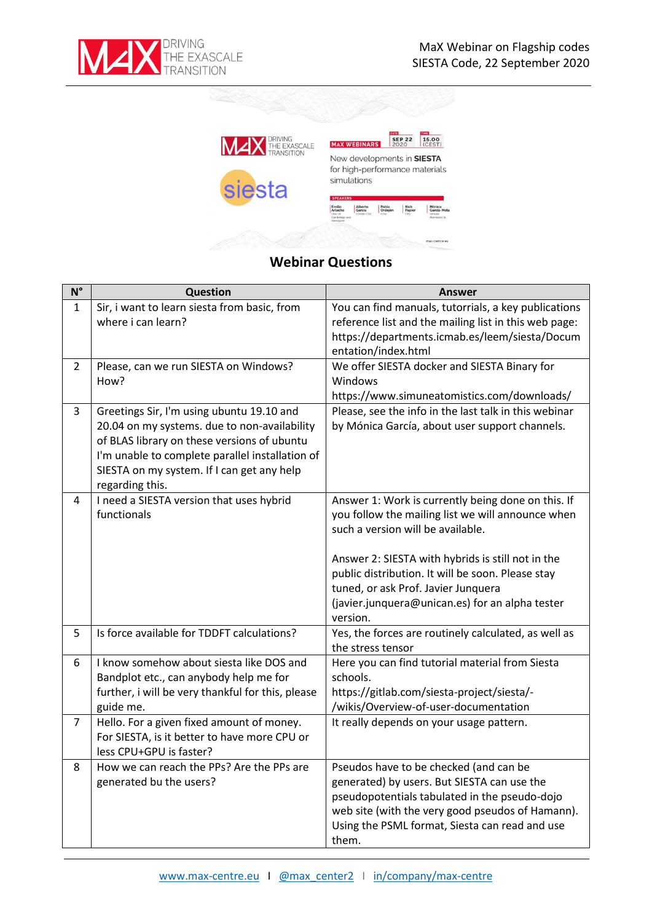



## **Webinar Questions**

| $\mathsf{N}^\circ$ | <b>Question</b>                                                                                                                                                                                                                                              | <b>Answer</b>                                                                                                                                                                                                                                                                                                                                                |
|--------------------|--------------------------------------------------------------------------------------------------------------------------------------------------------------------------------------------------------------------------------------------------------------|--------------------------------------------------------------------------------------------------------------------------------------------------------------------------------------------------------------------------------------------------------------------------------------------------------------------------------------------------------------|
| $\mathbf{1}$       | Sir, i want to learn siesta from basic, from<br>where i can learn?                                                                                                                                                                                           | You can find manuals, tutorrials, a key publications<br>reference list and the mailing list in this web page:<br>https://departments.icmab.es/leem/siesta/Docum<br>entation/index.html                                                                                                                                                                       |
| $\overline{2}$     | Please, can we run SIESTA on Windows?<br>How?                                                                                                                                                                                                                | We offer SIESTA docker and SIESTA Binary for<br>Windows<br>https://www.simuneatomistics.com/downloads/                                                                                                                                                                                                                                                       |
| 3                  | Greetings Sir, I'm using ubuntu 19.10 and<br>20.04 on my systems. due to non-availability<br>of BLAS library on these versions of ubuntu<br>I'm unable to complete parallel installation of<br>SIESTA on my system. If I can get any help<br>regarding this. | Please, see the info in the last talk in this webinar<br>by Mónica García, about user support channels.                                                                                                                                                                                                                                                      |
| 4                  | I need a SIESTA version that uses hybrid<br>functionals                                                                                                                                                                                                      | Answer 1: Work is currently being done on this. If<br>you follow the mailing list we will announce when<br>such a version will be available.<br>Answer 2: SIESTA with hybrids is still not in the<br>public distribution. It will be soon. Please stay<br>tuned, or ask Prof. Javier Junquera<br>(javier.junquera@unican.es) for an alpha tester<br>version. |
| 5                  | Is force available for TDDFT calculations?                                                                                                                                                                                                                   | Yes, the forces are routinely calculated, as well as<br>the stress tensor                                                                                                                                                                                                                                                                                    |
| 6                  | I know somehow about siesta like DOS and<br>Bandplot etc., can anybody help me for<br>further, i will be very thankful for this, please<br>guide me.                                                                                                         | Here you can find tutorial material from Siesta<br>schools.<br>https://gitlab.com/siesta-project/siesta/-<br>/wikis/Overview-of-user-documentation                                                                                                                                                                                                           |
| $\overline{7}$     | Hello. For a given fixed amount of money.<br>For SIESTA, is it better to have more CPU or<br>less CPU+GPU is faster?                                                                                                                                         | It really depends on your usage pattern.                                                                                                                                                                                                                                                                                                                     |
| 8                  | How we can reach the PPs? Are the PPs are<br>generated bu the users?                                                                                                                                                                                         | Pseudos have to be checked (and can be<br>generated) by users. But SIESTA can use the<br>pseudopotentials tabulated in the pseudo-dojo<br>web site (with the very good pseudos of Hamann).<br>Using the PSML format, Siesta can read and use<br>them.                                                                                                        |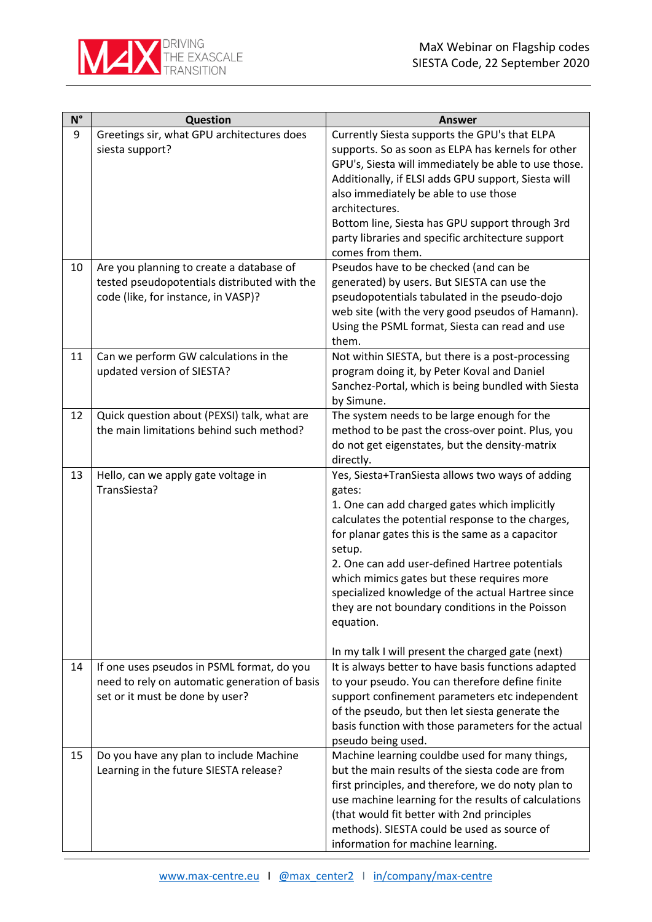

| $\mathsf{N}^\circ$ | <b>Question</b>                                                                                                                | <b>Answer</b>                                                                                                                                                                                                                                                                                                                                                                                                                                       |
|--------------------|--------------------------------------------------------------------------------------------------------------------------------|-----------------------------------------------------------------------------------------------------------------------------------------------------------------------------------------------------------------------------------------------------------------------------------------------------------------------------------------------------------------------------------------------------------------------------------------------------|
| 9<br>10            | Greetings sir, what GPU architectures does<br>siesta support?<br>Are you planning to create a database of                      | Currently Siesta supports the GPU's that ELPA<br>supports. So as soon as ELPA has kernels for other<br>GPU's, Siesta will immediately be able to use those.<br>Additionally, if ELSI adds GPU support, Siesta will<br>also immediately be able to use those<br>architectures.<br>Bottom line, Siesta has GPU support through 3rd<br>party libraries and specific architecture support<br>comes from them.<br>Pseudos have to be checked (and can be |
|                    | tested pseudopotentials distributed with the<br>code (like, for instance, in VASP)?                                            | generated) by users. But SIESTA can use the<br>pseudopotentials tabulated in the pseudo-dojo<br>web site (with the very good pseudos of Hamann).<br>Using the PSML format, Siesta can read and use<br>them.                                                                                                                                                                                                                                         |
| 11                 | Can we perform GW calculations in the<br>updated version of SIESTA?                                                            | Not within SIESTA, but there is a post-processing<br>program doing it, by Peter Koval and Daniel<br>Sanchez-Portal, which is being bundled with Siesta<br>by Simune.                                                                                                                                                                                                                                                                                |
| 12                 | Quick question about (PEXSI) talk, what are<br>the main limitations behind such method?                                        | The system needs to be large enough for the<br>method to be past the cross-over point. Plus, you<br>do not get eigenstates, but the density-matrix<br>directly.                                                                                                                                                                                                                                                                                     |
| 13                 | Hello, can we apply gate voltage in<br>TransSiesta?                                                                            | Yes, Siesta+TranSiesta allows two ways of adding<br>gates:<br>1. One can add charged gates which implicitly<br>calculates the potential response to the charges,<br>for planar gates this is the same as a capacitor<br>setup.<br>2. One can add user-defined Hartree potentials<br>which mimics gates but these requires more<br>specialized knowledge of the actual Hartree since<br>they are not boundary conditions in the Poisson<br>equation. |
| 14                 | If one uses pseudos in PSML format, do you<br>need to rely on automatic generation of basis<br>set or it must be done by user? | In my talk I will present the charged gate (next)<br>It is always better to have basis functions adapted<br>to your pseudo. You can therefore define finite<br>support confinement parameters etc independent<br>of the pseudo, but then let siesta generate the<br>basis function with those parameters for the actual<br>pseudo being used.                                                                                                       |
| 15                 | Do you have any plan to include Machine<br>Learning in the future SIESTA release?                                              | Machine learning couldbe used for many things,<br>but the main results of the siesta code are from<br>first principles, and therefore, we do noty plan to<br>use machine learning for the results of calculations<br>(that would fit better with 2nd principles<br>methods). SIESTA could be used as source of<br>information for machine learning.                                                                                                 |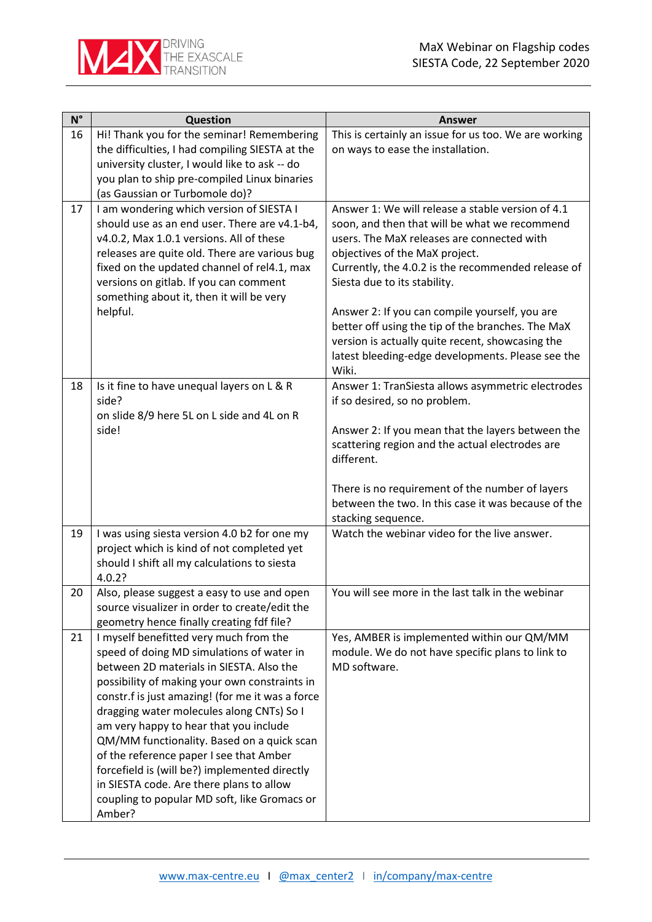| $N^{\circ}$ | Question                                                                                  | <b>Answer</b>                                                                                         |
|-------------|-------------------------------------------------------------------------------------------|-------------------------------------------------------------------------------------------------------|
| 16          | Hi! Thank you for the seminar! Remembering                                                | This is certainly an issue for us too. We are working                                                 |
|             | the difficulties, I had compiling SIESTA at the                                           | on ways to ease the installation.                                                                     |
|             | university cluster, I would like to ask -- do                                             |                                                                                                       |
|             | you plan to ship pre-compiled Linux binaries                                              |                                                                                                       |
| 17          | (as Gaussian or Turbomole do)?<br>I am wondering which version of SIESTA I                | Answer 1: We will release a stable version of 4.1                                                     |
|             | should use as an end user. There are v4.1-b4,                                             | soon, and then that will be what we recommend                                                         |
|             | v4.0.2, Max 1.0.1 versions. All of these                                                  | users. The MaX releases are connected with                                                            |
|             | releases are quite old. There are various bug                                             | objectives of the MaX project.                                                                        |
|             | fixed on the updated channel of rel4.1, max                                               | Currently, the 4.0.2 is the recommended release of                                                    |
|             | versions on gitlab. If you can comment                                                    | Siesta due to its stability.                                                                          |
|             | something about it, then it will be very                                                  |                                                                                                       |
|             | helpful.                                                                                  | Answer 2: If you can compile yourself, you are                                                        |
|             |                                                                                           | better off using the tip of the branches. The MaX                                                     |
|             |                                                                                           | version is actually quite recent, showcasing the<br>latest bleeding-edge developments. Please see the |
|             |                                                                                           | Wiki.                                                                                                 |
| 18          | Is it fine to have unequal layers on L & R                                                | Answer 1: TranSiesta allows asymmetric electrodes                                                     |
|             | side?                                                                                     | if so desired, so no problem.                                                                         |
|             | on slide 8/9 here 5L on L side and 4L on R                                                |                                                                                                       |
|             | side!                                                                                     | Answer 2: If you mean that the layers between the                                                     |
|             |                                                                                           | scattering region and the actual electrodes are                                                       |
|             |                                                                                           | different.                                                                                            |
|             |                                                                                           | There is no requirement of the number of layers                                                       |
|             |                                                                                           | between the two. In this case it was because of the                                                   |
|             |                                                                                           | stacking sequence.                                                                                    |
| 19          | I was using siesta version 4.0 b2 for one my                                              | Watch the webinar video for the live answer.                                                          |
|             | project which is kind of not completed yet                                                |                                                                                                       |
|             | should I shift all my calculations to siesta                                              |                                                                                                       |
|             | 4.0.2?                                                                                    |                                                                                                       |
| 20          | Also, please suggest a easy to use and open                                               | You will see more in the last talk in the webinar                                                     |
|             | source visualizer in order to create/edit the                                             |                                                                                                       |
| 21          | geometry hence finally creating fdf file?<br>I myself benefitted very much from the       | Yes, AMBER is implemented within our QM/MM                                                            |
|             | speed of doing MD simulations of water in                                                 | module. We do not have specific plans to link to                                                      |
|             | between 2D materials in SIESTA. Also the                                                  | MD software.                                                                                          |
|             | possibility of making your own constraints in                                             |                                                                                                       |
|             | constr.f is just amazing! (for me it was a force                                          |                                                                                                       |
|             | dragging water molecules along CNTs) So I                                                 |                                                                                                       |
|             | am very happy to hear that you include                                                    |                                                                                                       |
|             | QM/MM functionality. Based on a quick scan                                                |                                                                                                       |
|             | of the reference paper I see that Amber                                                   |                                                                                                       |
|             | forcefield is (will be?) implemented directly<br>in SIESTA code. Are there plans to allow |                                                                                                       |
|             | coupling to popular MD soft, like Gromacs or                                              |                                                                                                       |
|             | Amber?                                                                                    |                                                                                                       |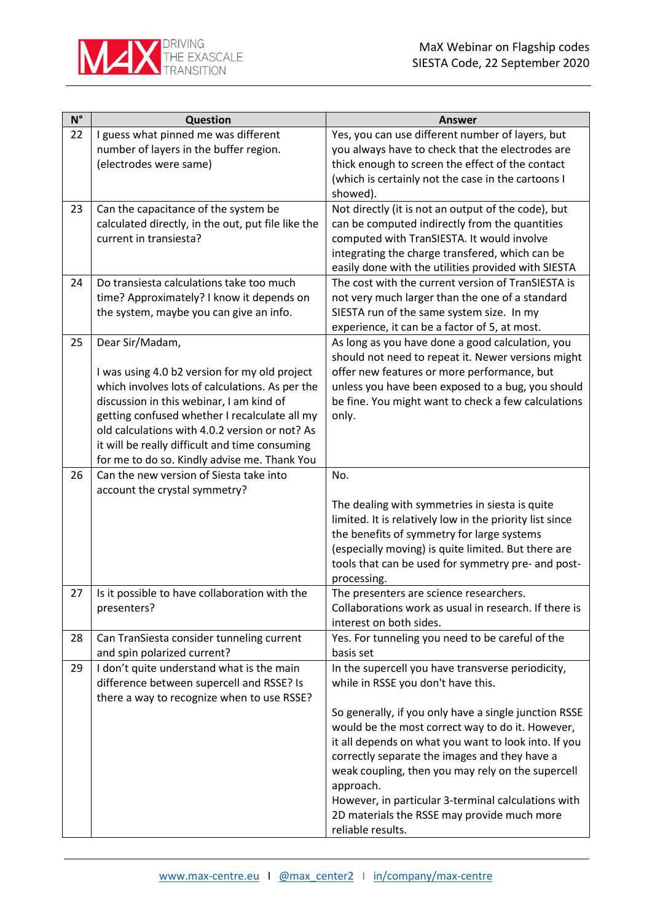

| $N^{\circ}$ | Question                                                                                   | <b>Answer</b>                                                                                             |
|-------------|--------------------------------------------------------------------------------------------|-----------------------------------------------------------------------------------------------------------|
| 22          | I guess what pinned me was different                                                       | Yes, you can use different number of layers, but                                                          |
|             | number of layers in the buffer region.                                                     | you always have to check that the electrodes are                                                          |
|             | (electrodes were same)                                                                     | thick enough to screen the effect of the contact                                                          |
|             |                                                                                            | (which is certainly not the case in the cartoons I                                                        |
|             |                                                                                            | showed).                                                                                                  |
| 23          | Can the capacitance of the system be<br>calculated directly, in the out, put file like the | Not directly (it is not an output of the code), but<br>can be computed indirectly from the quantities     |
|             | current in transiesta?                                                                     | computed with TranSIESTA. It would involve                                                                |
|             |                                                                                            | integrating the charge transfered, which can be                                                           |
|             |                                                                                            | easily done with the utilities provided with SIESTA                                                       |
| 24          | Do transiesta calculations take too much                                                   | The cost with the current version of TranSIESTA is                                                        |
|             | time? Approximately? I know it depends on                                                  | not very much larger than the one of a standard                                                           |
|             | the system, maybe you can give an info.                                                    | SIESTA run of the same system size. In my                                                                 |
|             |                                                                                            | experience, it can be a factor of 5, at most.                                                             |
| 25          | Dear Sir/Madam,                                                                            | As long as you have done a good calculation, you                                                          |
|             |                                                                                            | should not need to repeat it. Newer versions might                                                        |
|             | I was using 4.0 b2 version for my old project                                              | offer new features or more performance, but                                                               |
|             | which involves lots of calculations. As per the                                            | unless you have been exposed to a bug, you should<br>be fine. You might want to check a few calculations  |
|             | discussion in this webinar, I am kind of<br>getting confused whether I recalculate all my  | only.                                                                                                     |
|             | old calculations with 4.0.2 version or not? As                                             |                                                                                                           |
|             | it will be really difficult and time consuming                                             |                                                                                                           |
|             | for me to do so. Kindly advise me. Thank You                                               |                                                                                                           |
| 26          | Can the new version of Siesta take into                                                    | No.                                                                                                       |
|             | account the crystal symmetry?                                                              |                                                                                                           |
|             |                                                                                            | The dealing with symmetries in siesta is quite                                                            |
|             |                                                                                            | limited. It is relatively low in the priority list since                                                  |
|             |                                                                                            | the benefits of symmetry for large systems                                                                |
|             |                                                                                            | (especially moving) is quite limited. But there are<br>tools that can be used for symmetry pre- and post- |
|             |                                                                                            | processing.                                                                                               |
| 27          | Is it possible to have collaboration with the                                              | The presenters are science researchers.                                                                   |
|             | presenters?                                                                                | Collaborations work as usual in research. If there is                                                     |
|             |                                                                                            | interest on both sides.                                                                                   |
| 28          | Can TranSiesta consider tunneling current                                                  | Yes. For tunneling you need to be careful of the                                                          |
|             | and spin polarized current?                                                                | basis set                                                                                                 |
| 29          | I don't quite understand what is the main                                                  | In the supercell you have transverse periodicity,                                                         |
|             | difference between supercell and RSSE? Is                                                  | while in RSSE you don't have this.                                                                        |
|             | there a way to recognize when to use RSSE?                                                 | So generally, if you only have a single junction RSSE                                                     |
|             |                                                                                            | would be the most correct way to do it. However,                                                          |
|             |                                                                                            | it all depends on what you want to look into. If you                                                      |
|             |                                                                                            | correctly separate the images and they have a                                                             |
|             |                                                                                            | weak coupling, then you may rely on the supercell                                                         |
|             |                                                                                            | approach.                                                                                                 |
|             |                                                                                            | However, in particular 3-terminal calculations with                                                       |
|             |                                                                                            | 2D materials the RSSE may provide much more                                                               |
|             |                                                                                            | reliable results.                                                                                         |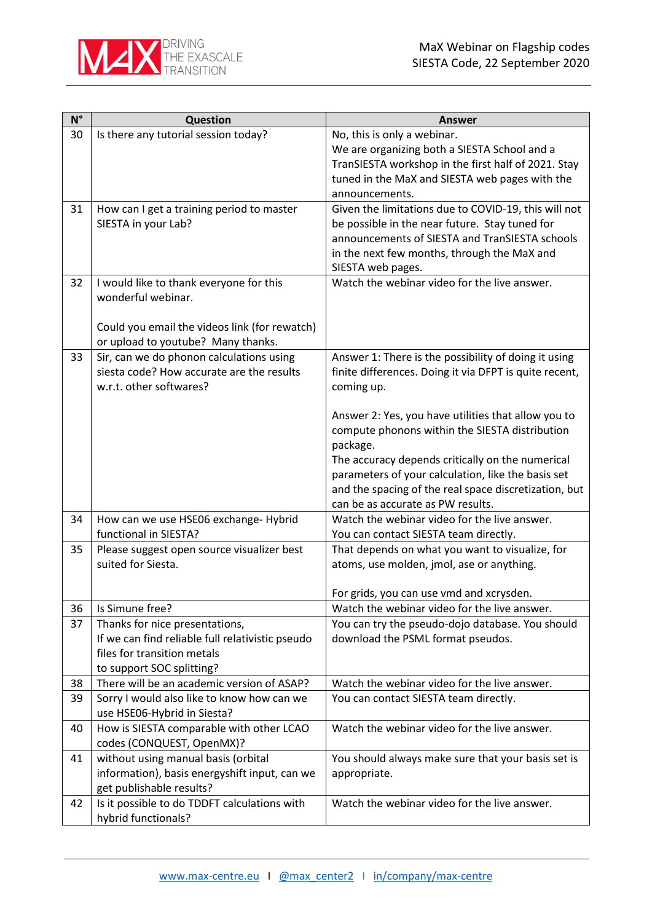

| $N^{\circ}$ | <b>Question</b>                                                                       | Answer                                                                                                         |
|-------------|---------------------------------------------------------------------------------------|----------------------------------------------------------------------------------------------------------------|
| 30          | Is there any tutorial session today?                                                  | No, this is only a webinar.                                                                                    |
|             |                                                                                       | We are organizing both a SIESTA School and a                                                                   |
|             |                                                                                       | TranSIESTA workshop in the first half of 2021. Stay                                                            |
|             |                                                                                       | tuned in the MaX and SIESTA web pages with the                                                                 |
|             |                                                                                       | announcements.                                                                                                 |
| 31          | How can I get a training period to master<br>SIESTA in your Lab?                      | Given the limitations due to COVID-19, this will not<br>be possible in the near future. Stay tuned for         |
|             |                                                                                       | announcements of SIESTA and TranSIESTA schools                                                                 |
|             |                                                                                       | in the next few months, through the MaX and                                                                    |
|             |                                                                                       | SIESTA web pages.                                                                                              |
| 32          | I would like to thank everyone for this                                               | Watch the webinar video for the live answer.                                                                   |
|             | wonderful webinar.                                                                    |                                                                                                                |
|             |                                                                                       |                                                                                                                |
|             | Could you email the videos link (for rewatch)                                         |                                                                                                                |
|             | or upload to youtube? Many thanks.                                                    |                                                                                                                |
| 33          | Sir, can we do phonon calculations using<br>siesta code? How accurate are the results | Answer 1: There is the possibility of doing it using<br>finite differences. Doing it via DFPT is quite recent, |
|             | w.r.t. other softwares?                                                               | coming up.                                                                                                     |
|             |                                                                                       |                                                                                                                |
|             |                                                                                       | Answer 2: Yes, you have utilities that allow you to                                                            |
|             |                                                                                       | compute phonons within the SIESTA distribution                                                                 |
|             |                                                                                       | package.                                                                                                       |
|             |                                                                                       | The accuracy depends critically on the numerical                                                               |
|             |                                                                                       | parameters of your calculation, like the basis set                                                             |
|             |                                                                                       | and the spacing of the real space discretization, but<br>can be as accurate as PW results.                     |
| 34          | How can we use HSE06 exchange- Hybrid                                                 | Watch the webinar video for the live answer.                                                                   |
|             | functional in SIESTA?                                                                 | You can contact SIESTA team directly.                                                                          |
| 35          | Please suggest open source visualizer best                                            | That depends on what you want to visualize, for                                                                |
|             | suited for Siesta.                                                                    | atoms, use molden, jmol, ase or anything.                                                                      |
|             |                                                                                       |                                                                                                                |
|             |                                                                                       | For grids, you can use vmd and xcrysden.                                                                       |
| 36          | Is Simune free?                                                                       | Watch the webinar video for the live answer.                                                                   |
| 37          | Thanks for nice presentations,                                                        | You can try the pseudo-dojo database. You should                                                               |
|             | If we can find reliable full relativistic pseudo<br>files for transition metals       | download the PSML format pseudos.                                                                              |
|             | to support SOC splitting?                                                             |                                                                                                                |
| 38          | There will be an academic version of ASAP?                                            | Watch the webinar video for the live answer.                                                                   |
| 39          | Sorry I would also like to know how can we                                            | You can contact SIESTA team directly.                                                                          |
|             | use HSE06-Hybrid in Siesta?                                                           |                                                                                                                |
| 40          | How is SIESTA comparable with other LCAO                                              | Watch the webinar video for the live answer.                                                                   |
|             | codes (CONQUEST, OpenMX)?                                                             |                                                                                                                |
| 41          | without using manual basis (orbital                                                   | You should always make sure that your basis set is                                                             |
|             | information), basis energyshift input, can we                                         | appropriate.                                                                                                   |
|             | get publishable results?                                                              |                                                                                                                |
| 42          | Is it possible to do TDDFT calculations with                                          | Watch the webinar video for the live answer.                                                                   |
|             | hybrid functionals?                                                                   |                                                                                                                |